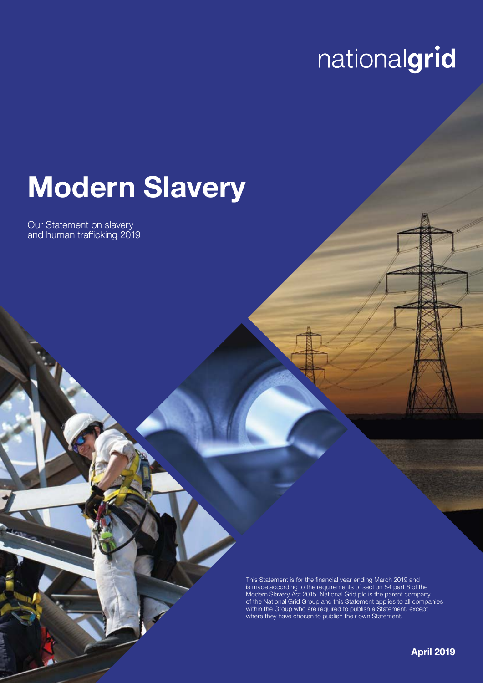# nationalgrid

# **Modern Slavery**

Our Statement on slavery and human trafficking 2019

> This Statement is for the financial year ending March 2019 and is made according to the requirements of section 54 part 6 of the Modern Slavery Act 2015. National Grid plc is the parent company of the National Grid Group and this Statement applies to all companies within the Group who are required to publish a Statement, except where they have chosen to publish their own Statement.

> > **April 2019**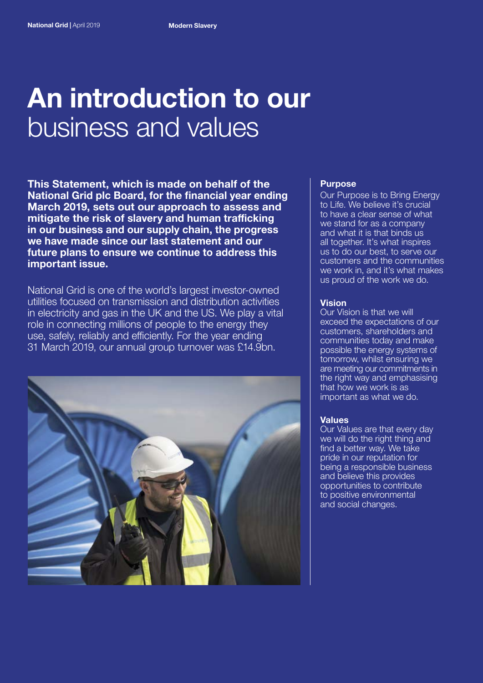## **An introduction to our**  business and values

**This Statement, which is made on behalf of the National Grid plc Board, for the financial year ending March 2019, sets out our approach to assess and mitigate the risk of slavery and human trafficking in our business and our supply chain, the progress we have made since our last statement and our future plans to ensure we continue to address this important issue.**

National Grid is one of the world's largest investor-owned utilities focused on transmission and distribution activities in electricity and gas in the UK and the US. We play a vital role in connecting millions of people to the energy they use, safely, reliably and efficiently. For the year ending 31 March 2019, our annual group turnover was £14.9bn.



#### **Purpose**

Our Purpose is to Bring Energy to Life. We believe it's crucial to have a clear sense of what we stand for as a company and what it is that binds us all together. It's what inspires us to do our best, to serve our customers and the communities we work in, and it's what makes us proud of the work we do.

#### **Vision**

Our Vision is that we will exceed the expectations of our customers, shareholders and communities today and make possible the energy systems of tomorrow, whilst ensuring we are meeting our commitments in the right way and emphasising that how we work is as important as what we do.

### **Values**

Our Values are that every day we will do the right thing and find a better way. We take pride in our reputation for being a responsible business and believe this provides opportunities to contribute to positive environmental and social changes.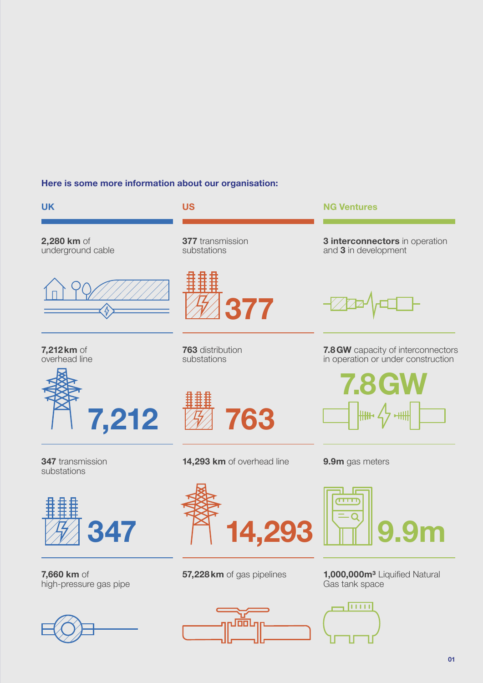### **Here is some more information about our organisation:**



**347** transmission substations



**7,660 km** of high-pressure gas pipe







**9.9m** gas meters

 $\overline{\mathcal{L}}$  and



**57,228km** of gas pipelines **1,000,000m³** Liquified Natural Gas tank space

**01**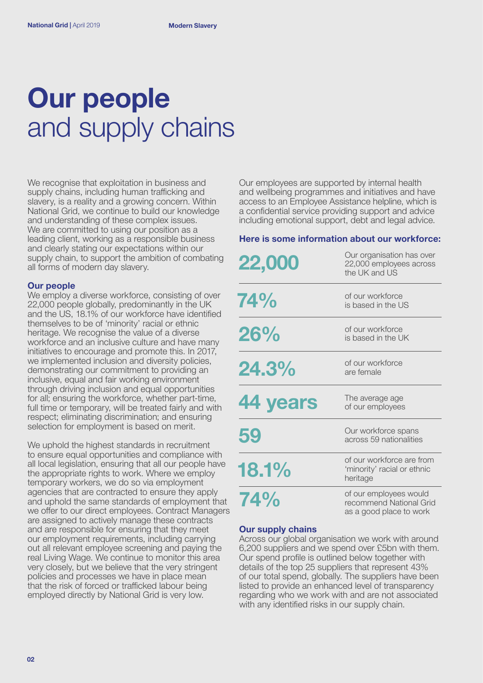# **Our people**  and supply chains

We recognise that exploitation in business and supply chains, including human trafficking and slavery, is a reality and a growing concern. Within National Grid, we continue to build our knowledge and understanding of these complex issues. We are committed to using our position as a leading client, working as a responsible business and clearly stating our expectations within our supply chain, to support the ambition of combating all forms of modern day slavery.

#### **Our people**

We employ a diverse workforce, consisting of over 22,000 people globally, predominantly in the UK and the US, 18.1% of our workforce have identified themselves to be of 'minority' racial or ethnic heritage. We recognise the value of a diverse workforce and an inclusive culture and have many initiatives to encourage and promote this. In 2017, we implemented inclusion and diversity policies, demonstrating our commitment to providing an inclusive, equal and fair working environment through driving inclusion and equal opportunities for all; ensuring the workforce, whether part-time, full time or temporary, will be treated fairly and with respect; eliminating discrimination; and ensuring selection for employment is based on merit.

We uphold the highest standards in recruitment to ensure equal opportunities and compliance with all local legislation, ensuring that all our people have the appropriate rights to work. Where we employ temporary workers, we do so via employment agencies that are contracted to ensure they apply and uphold the same standards of employment that we offer to our direct employees. Contract Managers are assigned to actively manage these contracts and are responsible for ensuring that they meet our employment requirements, including carrying out all relevant employee screening and paying the real Living Wage. We continue to monitor this area very closely, but we believe that the very stringent policies and processes we have in place mean that the risk of forced or trafficked labour being employed directly by National Grid is very low.

Our employees are supported by internal health and wellbeing programmes and initiatives and have access to an Employee Assistance helpline, which is a confidential service providing support and advice including emotional support, debt and legal advice.

#### **Here is some information about our workforce:**

| 22,000   | Our organisation has over<br>22,000 employees across<br>the UK and US        |
|----------|------------------------------------------------------------------------------|
| 74%      | of our workforce<br>is based in the US                                       |
| 26%      | of our workforce<br>is based in the UK                                       |
| 24.3%    | of our workforce<br>are female                                               |
| 44 years | The average age<br>of our employees                                          |
| 59       | Our workforce spans<br>across 59 nationalities                               |
| 18.1%    | of our workforce are from<br>'minority' racial or ethnic<br>heritage         |
| 74%      | of our employees would<br>recommend National Grid<br>as a good place to work |

#### **Our supply chains**

Across our global organisation we work with around 6,200 suppliers and we spend over £5bn with them. Our spend profile is outlined below together with details of the top 25 suppliers that represent 43% of our total spend, globally. The suppliers have been listed to provide an enhanced level of transparency regarding who we work with and are not associated with any identified risks in our supply chain.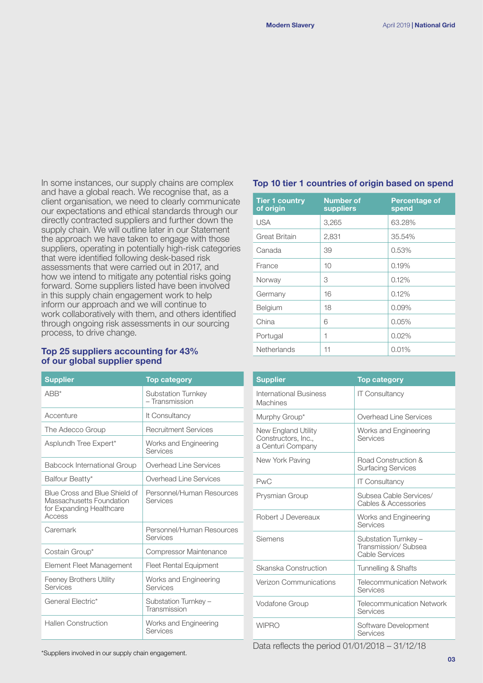In some instances, our supply chains are complex and have a global reach. We recognise that, as a client organisation, we need to clearly communicate our expectations and ethical standards through our directly contracted suppliers and further down the supply chain. We will outline later in our Statement the approach we have taken to engage with those suppliers, operating in potentially high-risk categories that were identified following desk-based risk assessments that were carried out in 2017, and how we intend to mitigate any potential risks going forward. Some suppliers listed have been involved in this supply chain engagement work to help inform our approach and we will continue to work collaboratively with them, and others identified through ongoing risk assessments in our sourcing process, to drive change.

#### **Top 25 suppliers accounting for 43% of our global supplier spend**

| <b>Supplier</b>                                                                                 | <b>Top category</b>                   |
|-------------------------------------------------------------------------------------------------|---------------------------------------|
| $ABB^*$                                                                                         | Substation Turnkey<br>- Transmission  |
| Accenture                                                                                       | It Consultancy                        |
| The Adecco Group                                                                                | <b>Recruitment Services</b>           |
| Asplundh Tree Expert*                                                                           | Works and Engineering<br>Services     |
| <b>Babcock International Group</b>                                                              | Overhead Line Services                |
| Balfour Beatty*                                                                                 | Overhead Line Services                |
| Blue Cross and Blue Shield of<br>Massachusetts Foundation<br>for Expanding Healthcare<br>Access | Personnel/Human Resources<br>Services |
| Caremark                                                                                        | Personnel/Human Resources<br>Services |
| Costain Group*                                                                                  | Compressor Maintenance                |
| Element Fleet Management                                                                        | <b>Fleet Rental Equipment</b>         |
| <b>Feeney Brothers Utility</b><br>Services                                                      | Works and Engineering<br>Services     |
| General Flectric*                                                                               | Substation Turnkey -<br>Transmission  |
| <b>Hallen Construction</b>                                                                      | Works and Engineering<br>Services     |

#### **Top 10 tier 1 countries of origin based on spend**

| <b>Tier 1 country</b><br>of origin | <b>Number of</b><br>suppliers | <b>Percentage of</b><br>spend |
|------------------------------------|-------------------------------|-------------------------------|
| <b>USA</b>                         | 3,265                         | 63.28%                        |
| <b>Great Britain</b>               | 2,831                         | 35.54%                        |
| Canada                             | 39                            | 0.53%                         |
| France                             | 10                            | 0.19%                         |
| Norway                             | 3                             | 0.12%                         |
| Germany                            | 16                            | 0.12%                         |
| Belgium                            | 18                            | 0.09%                         |
| China                              | 6                             | 0.05%                         |
| Portugal                           | 1                             | 0.02%                         |
| <b>Netherlands</b>                 | 11                            | 0.01%                         |

| <b>Supplier</b>                                                 | <b>Top category</b>                                           |
|-----------------------------------------------------------------|---------------------------------------------------------------|
| <b>International Business</b><br><b>Machines</b>                | <b>IT Consultancy</b>                                         |
| Murphy Group*                                                   | Overhead Line Services                                        |
| New England Utility<br>Constructors, Inc.,<br>a Centuri Company | Works and Engineering<br>Services                             |
| New York Paving                                                 | Road Construction &<br><b>Surfacing Services</b>              |
| <b>PwC</b>                                                      | <b>IT Consultancy</b>                                         |
| Prysmian Group                                                  | Subsea Cable Services/<br>Cables & Accessories                |
| Robert J Devereaux                                              | Works and Engineering<br>Services                             |
| Siemens                                                         | Substation Turnkey -<br>Transmission/Subsea<br>Cable Services |
| Skanska Construction                                            | Tunnelling & Shafts                                           |
| Verizon Communications                                          | <b>Telecommunication Network</b><br>Services                  |
| <b>Vodafone Group</b>                                           | <b>Telecommunication Network</b><br>Services                  |
| <b>WIPRO</b>                                                    | Software Development<br>Services                              |

\*Suppliers involved in our supply chain engagement. Data reflects the period 01/01/2018 – 31/12/18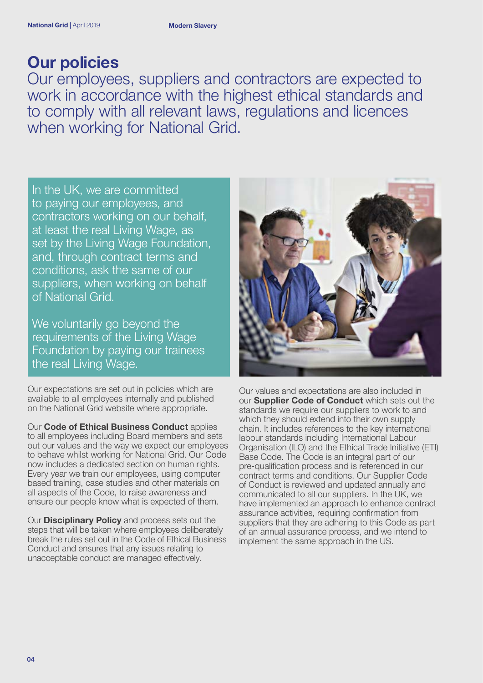## **Our policies**

Our employees, suppliers and contractors are expected to work in accordance with the highest ethical standards and to comply with all relevant laws, regulations and licences when working for National Grid.

In the UK, we are committed to paying our employees, and contractors working on our behalf, at least the real Living Wage, as set by the Living Wage Foundation, and, through contract terms and conditions, ask the same of our suppliers, when working on behalf of National Grid.

We voluntarily go beyond the requirements of the Living Wage Foundation by paying our trainees the real Living Wage.

Our expectations are set out in policies which are available to all employees internally and published on the National Grid website where appropriate.

Our **Code of Ethical Business Conduct** applies to all employees including Board members and sets out our values and the way we expect our employees to behave whilst working for National Grid. Our Code now includes a dedicated section on human rights. Every year we train our employees, using computer based training, case studies and other materials on all aspects of the Code, to raise awareness and ensure our people know what is expected of them.

Our **Disciplinary Policy** and process sets out the steps that will be taken where employees deliberately break the rules set out in the Code of Ethical Business Conduct and ensures that any issues relating to unacceptable conduct are managed effectively.



Our values and expectations are also included in our **Supplier Code of Conduct** which sets out the standards we require our suppliers to work to and which they should extend into their own supply chain. It includes references to the key international labour standards including International Labour Organisation (ILO) and the Ethical Trade Initiative (ETI) Base Code. The Code is an integral part of our pre-qualification process and is referenced in our contract terms and conditions. Our Supplier Code of Conduct is reviewed and updated annually and communicated to all our suppliers. In the UK, we have implemented an approach to enhance contract assurance activities, requiring confirmation from suppliers that they are adhering to this Code as part of an annual assurance process, and we intend to implement the same approach in the US.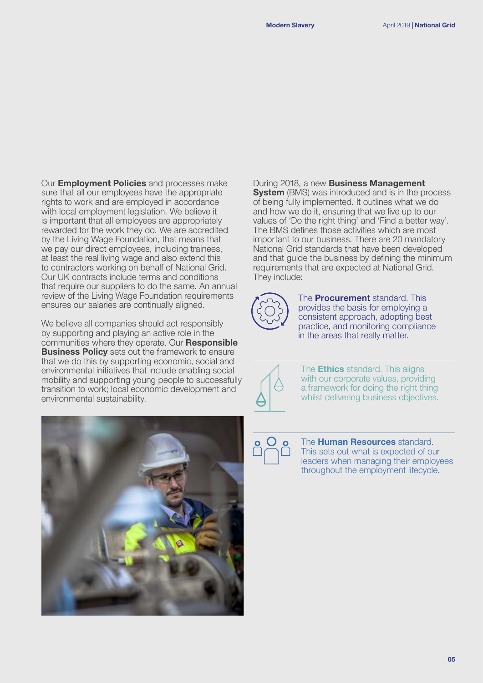Our **Employment Policies** and processes make sure that all our employees have the appropriate rights to work and are employed in accordance with local employment legislation. We believe it is important that all employees are appropriately rewarded for the work they do. We are accredited by the Living Wage Foundation, that means that we pay our direct employees, including trainees, at least the real living wage and also extend this to contractors working on behalf of National Grid. Our UK contracts include terms and conditions that require our suppliers to do the same. An annual review of the Living Wage Foundation requirements ensures our salaries are continually aligned.

We believe all companies should act responsibly by supporting and playing an active role in the communities where they operate. Our **Responsible Business Policy** sets out the framework to ensure that we do this by supporting economic, social and environmental initiatives that include enabling social mobility and supporting young people to successfully transition to work; local economic development and environmental sustainability.



During 2018, a new **Business Management** 

**System** (BMS) was introduced and is in the process of being fully implemented. It outlines what we do and how we do it, ensuring that we live up to our values of 'Do the right thing' and 'Find a better way'. The BMS defines those activities which are most important to our business. There are 20 mandatory National Grid standards that have been developed and that guide the business by defining the minimum requirements that are expected at National Grid. They include:

The **Procurement** standard. This provides the basis for employing a consistent approach, adopting best practice, and monitoring compliance in the areas that really matter.



The **Ethics** standard. This aligns with our corporate values, providing a framework for doing the right thing whilst delivering business objectives.

The **Human Resources** standard. This sets out what is expected of our leaders when managing their employees throughout the employment lifecycle.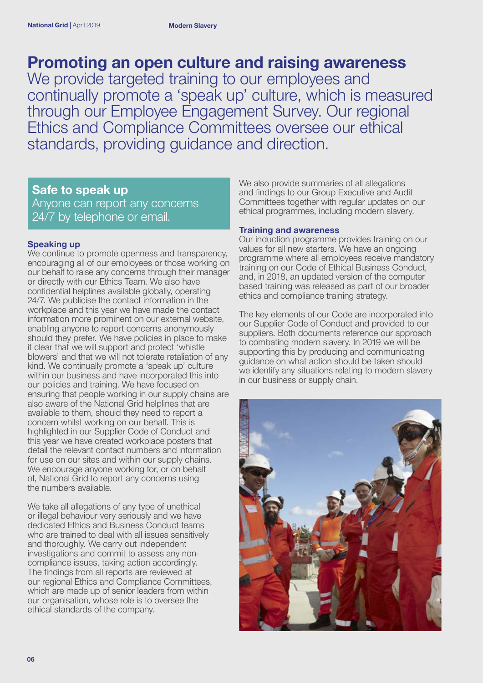## **Promoting an open culture and raising awareness**

We provide targeted training to our employees and continually promote a 'speak up' culture, which is measured through our Employee Engagement Survey. Our regional Ethics and Compliance Committees oversee our ethical standards, providing guidance and direction.

### **Safe to speak up**

Anyone can report any concerns 24/7 by telephone or email.

### **Speaking up**

We continue to promote openness and transparency, encouraging all of our employees or those working on our behalf to raise any concerns through their manager or directly with our Ethics Team. We also have confidential helplines available globally, operating 24/7. We publicise the contact information in the workplace and this year we have made the contact information more prominent on our external website, enabling anyone to report concerns anonymously should they prefer. We have policies in place to make it clear that we will support and protect 'whistle blowers' and that we will not tolerate retaliation of any kind. We continually promote a 'speak up' culture within our business and have incorporated this into our policies and training. We have focused on ensuring that people working in our supply chains are also aware of the National Grid helplines that are available to them, should they need to report a concern whilst working on our behalf. This is highlighted in our Supplier Code of Conduct and this year we have created workplace posters that detail the relevant contact numbers and information for use on our sites and within our supply chains. We encourage anyone working for, or on behalf of, National Grid to report any concerns using the numbers available.

We take all allegations of any type of unethical or illegal behaviour very seriously and we have dedicated Ethics and Business Conduct teams who are trained to deal with all issues sensitively and thoroughly. We carry out independent investigations and commit to assess any noncompliance issues, taking action accordingly. The findings from all reports are reviewed at our regional Ethics and Compliance Committees, which are made up of senior leaders from within our organisation, whose role is to oversee the ethical standards of the company.

We also provide summaries of all allegations and findings to our Group Executive and Audit Committees together with regular updates on our ethical programmes, including modern slavery.

#### **Training and awareness**

Our induction programme provides training on our values for all new starters. We have an ongoing programme where all employees receive mandatory training on our Code of Ethical Business Conduct, and, in 2018, an updated version of the computer based training was released as part of our broader ethics and compliance training strategy.

The key elements of our Code are incorporated into our Supplier Code of Conduct and provided to our suppliers. Both documents reference our approach to combating modern slavery. In 2019 we will be supporting this by producing and communicating guidance on what action should be taken should we identify any situations relating to modern slavery in our business or supply chain.

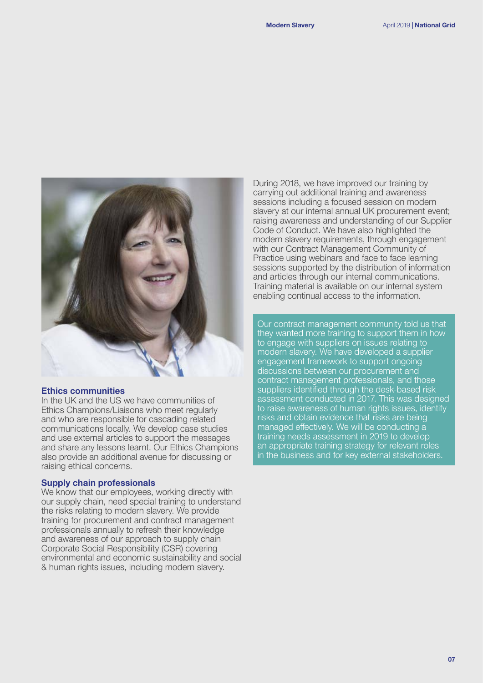

#### **Ethics communities**

In the UK and the US we have communities of Ethics Champions/Liaisons who meet regularly and who are responsible for cascading related communications locally. We develop case studies and use external articles to support the messages and share any lessons learnt. Our Ethics Champions also provide an additional avenue for discussing or raising ethical concerns.

#### **Supply chain professionals**

We know that our employees, working directly with our supply chain, need special training to understand the risks relating to modern slavery. We provide training for procurement and contract management professionals annually to refresh their knowledge and awareness of our approach to supply chain Corporate Social Responsibility (CSR) covering environmental and economic sustainability and social & human rights issues, including modern slavery.

During 2018, we have improved our training by carrying out additional training and awareness sessions including a focused session on modern slavery at our internal annual UK procurement event; raising awareness and understanding of our Supplier Code of Conduct. We have also highlighted the modern slavery requirements, through engagement with our Contract Management Community of Practice using webinars and face to face learning sessions supported by the distribution of information and articles through our internal communications. Training material is available on our internal system enabling continual access to the information.

Our contract management community told us that they wanted more training to support them in how to engage with suppliers on issues relating to modern slavery. We have developed a supplier engagement framework to support ongoing discussions between our procurement and contract management professionals, and those suppliers identified through the desk-based risk assessment conducted in 2017. This was designed to raise awareness of human rights issues, identify risks and obtain evidence that risks are being managed effectively. We will be conducting a training needs assessment in 2019 to develop an appropriate training strategy for relevant roles in the business and for key external stakeholders.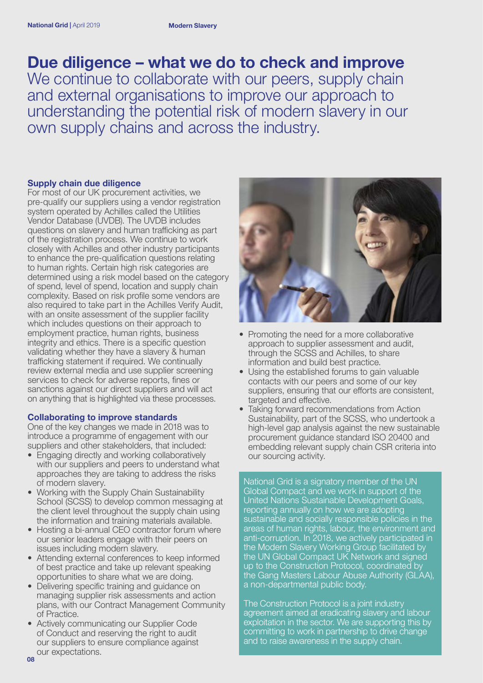## **Due diligence – what we do to check and improve**

We continue to collaborate with our peers, supply chain and external organisations to improve our approach to understanding the potential risk of modern slavery in our own supply chains and across the industry.

#### **Supply chain due diligence**

For most of our UK procurement activities, we pre-qualify our suppliers using a vendor registration system operated by Achilles called the Utilities Vendor Database (UVDB). The UVDB includes questions on slavery and human trafficking as part of the registration process. We continue to work closely with Achilles and other industry participants to enhance the pre-qualification questions relating to human rights. Certain high risk categories are determined using a risk model based on the category of spend, level of spend, location and supply chain complexity. Based on risk profile some vendors are also required to take part in the Achilles Verify Audit, with an onsite assessment of the supplier facility which includes questions on their approach to employment practice, human rights, business integrity and ethics. There is a specific question validating whether they have a slavery & human trafficking statement if required. We continually review external media and use supplier screening services to check for adverse reports, fines or sanctions against our direct suppliers and will act on anything that is highlighted via these processes.

#### **Collaborating to improve standards**

One of the key changes we made in 2018 was to introduce a programme of engagement with our suppliers and other stakeholders, that included:

- Engaging directly and working collaboratively with our suppliers and peers to understand what approaches they are taking to address the risks of modern slavery.
- Working with the Supply Chain Sustainability School (SCSS) to develop common messaging at the client level throughout the supply chain using the information and training materials available.
- Hosting a bi-annual CEO contractor forum where our senior leaders engage with their peers on issues including modern slavery.
- Attending external conferences to keep informed of best practice and take up relevant speaking opportunities to share what we are doing.
- Delivering specific training and guidance on managing supplier risk assessments and action plans, with our Contract Management Community of Practice.
- Actively communicating our Supplier Code of Conduct and reserving the right to audit our suppliers to ensure compliance against our expectations.



- Promoting the need for a more collaborative approach to supplier assessment and audit, through the SCSS and Achilles, to share information and build best practice.
- Using the established forums to gain valuable contacts with our peers and some of our key suppliers, ensuring that our efforts are consistent, targeted and effective.
- Taking forward recommendations from Action Sustainability, part of the SCSS, who undertook a high-level gap analysis against the new sustainable procurement guidance standard ISO 20400 and embedding relevant supply chain CSR criteria into our sourcing activity.

National Grid is a signatory member of the UN Global Compact and we work in support of the United Nations Sustainable Development Goals, reporting annually on how we are adopting sustainable and socially responsible policies in the areas of human rights, labour, the environment and anti-corruption. In 2018, we actively participated in the Modern Slavery Working Group facilitated by the UN Global Compact UK Network and signed up to the Construction Protocol, coordinated by the Gang Masters Labour Abuse Authority (GLAA), a non-departmental public body.

The Construction Protocol is a joint industry agreement aimed at eradicating slavery and labour exploitation in the sector. We are supporting this by committing to work in partnership to drive change and to raise awareness in the supply chain.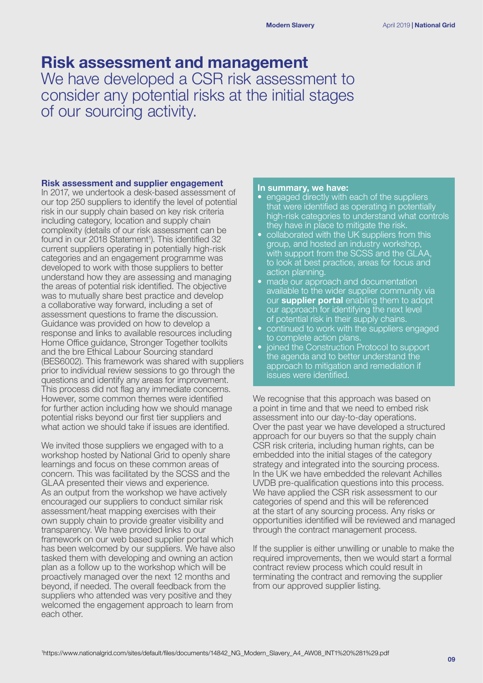## **Risk assessment and management**

We have developed a CSR risk assessment to consider any potential risks at the initial stages of our sourcing activity.

#### **Risk assessment and supplier engagement**

In 2017, we undertook a desk-based assessment of our top 250 suppliers to identify the level of potential risk in our supply chain based on key risk criteria including category, location and supply chain complexity (details of our risk assessment can be found in our 2018 Statement<sup>1</sup>). This identified 32 current suppliers operating in potentially high-risk categories and an engagement programme was developed to work with those suppliers to better understand how they are assessing and managing the areas of potential risk identified. The objective was to mutually share best practice and develop a collaborative way forward, including a set of assessment questions to frame the discussion. Guidance was provided on how to develop a response and links to available resources including Home Office guidance, Stronger Together toolkits and the bre Ethical Labour Sourcing standard (BES6002). This framework was shared with suppliers prior to individual review sessions to go through the questions and identify any areas for improvement. This process did not flag any immediate concerns. However, some common themes were identified for further action including how we should manage potential risks beyond our first tier suppliers and what action we should take if issues are identified.

We invited those suppliers we engaged with to a workshop hosted by National Grid to openly share learnings and focus on these common areas of concern. This was facilitated by the SCSS and the GLAA presented their views and experience. As an output from the workshop we have actively encouraged our suppliers to conduct similar risk assessment/heat mapping exercises with their own supply chain to provide greater visibility and transparency. We have provided links to our framework on our web based supplier portal which has been welcomed by our suppliers. We have also tasked them with developing and owning an action plan as a follow up to the workshop which will be proactively managed over the next 12 months and beyond, if needed. The overall feedback from the suppliers who attended was very positive and they welcomed the engagement approach to learn from each other.

#### **In summary, we have:**

- engaged directly with each of the suppliers that were identified as operating in potentially high-risk categories to understand what controls they have in place to mitigate the risk.
- collaborated with the UK suppliers from this group, and hosted an industry workshop, with support from the SCSS and the GLAA. to look at best practice, areas for focus and action planning.
- made our approach and documentation available to the wider supplier community via our **supplier portal** enabling them to adopt our approach for identifying the next level of potential risk in their supply chains.
- continued to work with the suppliers engaged to complete action plans.
- joined the Construction Protocol to support the agenda and to better understand the approach to mitigation and remediation if issues were identified.

We recognise that this approach was based on a point in time and that we need to embed risk assessment into our day-to-day operations. Over the past year we have developed a structured approach for our buyers so that the supply chain CSR risk criteria, including human rights, can be embedded into the initial stages of the category strategy and integrated into the sourcing process. In the UK we have embedded the relevant Achilles UVDB pre-qualification questions into this process. We have applied the CSR risk assessment to our categories of spend and this will be referenced at the start of any sourcing process. Any risks or opportunities identified will be reviewed and managed through the contract management process.

If the supplier is either unwilling or unable to make the required improvements, then we would start a formal contract review process which could result in terminating the contract and removing the supplier from our approved supplier listing.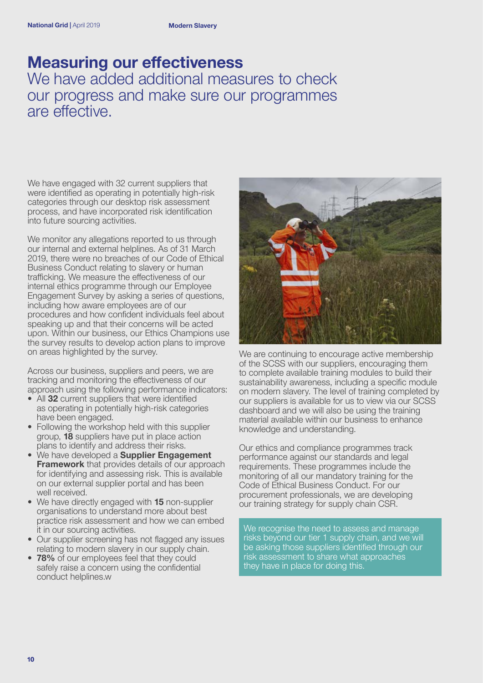### **Measuring our effectiveness** We have added additional measures to check

our progress and make sure our programmes are effective.

We have engaged with 32 current suppliers that were identified as operating in potentially high-risk categories through our desktop risk assessment process, and have incorporated risk identification into future sourcing activities.

We monitor any allegations reported to us through our internal and external helplines. As of 31 March 2019, there were no breaches of our Code of Ethical Business Conduct relating to slavery or human trafficking. We measure the effectiveness of our internal ethics programme through our Employee Engagement Survey by asking a series of questions, including how aware employees are of our procedures and how confident individuals feel about speaking up and that their concerns will be acted upon. Within our business, our Ethics Champions use the survey results to develop action plans to improve on areas highlighted by the survey.

Across our business, suppliers and peers, we are tracking and monitoring the effectiveness of our approach using the following performance indicators:

- All **32** current suppliers that were identified as operating in potentially high-risk categories have been engaged.
- Following the workshop held with this supplier group, **18** suppliers have put in place action plans to identify and address their risks.
- We have developed a **Supplier Engagement Framework** that provides details of our approach for identifying and assessing risk. This is available on our external supplier portal and has been well received.
- We have directly engaged with **15** non-supplier organisations to understand more about best practice risk assessment and how we can embed it in our sourcing activities.
- Our supplier screening has not flagged any issues relating to modern slavery in our supply chain.
- **78%** of our employees feel that they could safely raise a concern using the confidential conduct helplines.w



We are continuing to encourage active membership of the SCSS with our suppliers, encouraging them to complete available training modules to build their sustainability awareness, including a specific module on modern slavery. The level of training completed by our suppliers is available for us to view via our SCSS dashboard and we will also be using the training material available within our business to enhance knowledge and understanding.

Our ethics and compliance programmes track performance against our standards and legal requirements. These programmes include the monitoring of all our mandatory training for the Code of Ethical Business Conduct. For our procurement professionals, we are developing our training strategy for supply chain CSR.

We recognise the need to assess and manage risks beyond our tier 1 supply chain, and we will be asking those suppliers identified through our risk assessment to share what approaches they have in place for doing this.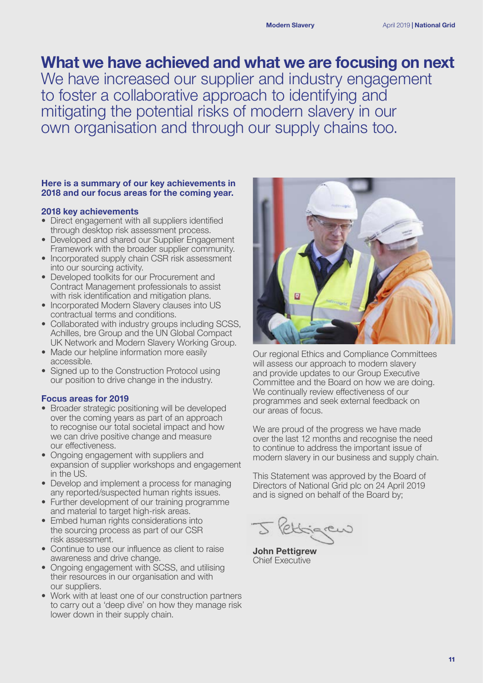## **What we have achieved and what we are focusing on next**

We have increased our supplier and industry engagement to foster a collaborative approach to identifying and mitigating the potential risks of modern slavery in our own organisation and through our supply chains too.

#### **Here is a summary of our key achievements in 2018 and our focus areas for the coming year.**

#### **2018 key achievements**

- Direct engagement with all suppliers identified through desktop risk assessment process.
- Developed and shared our Supplier Engagement Framework with the broader supplier community.
- Incorporated supply chain CSR risk assessment into our sourcing activity.
- Developed toolkits for our Procurement and Contract Management professionals to assist with risk identification and mitigation plans.
- Incorporated Modern Slavery clauses into US contractual terms and conditions.
- Collaborated with industry groups including SCSS, Achilles, bre Group and the UN Global Compact UK Network and Modern Slavery Working Group.
- Made our helpline information more easily accessible.
- Signed up to the Construction Protocol using our position to drive change in the industry.

#### **Focus areas for 2019**

- Broader strategic positioning will be developed over the coming years as part of an approach to recognise our total societal impact and how we can drive positive change and measure our effectiveness.
- Ongoing engagement with suppliers and expansion of supplier workshops and engagement in the US.
- Develop and implement a process for managing any reported/suspected human rights issues.
- Further development of our training programme and material to target high-risk areas.
- Embed human rights considerations into the sourcing process as part of our CSR risk assessment.
- Continue to use our influence as client to raise awareness and drive change.
- Ongoing engagement with SCSS, and utilising their resources in our organisation and with our suppliers.
- Work with at least one of our construction partners to carry out a 'deep dive' on how they manage risk lower down in their supply chain.



Our regional Ethics and Compliance Committees will assess our approach to modern slavery and provide updates to our Group Executive Committee and the Board on how we are doing. We continually review effectiveness of our programmes and seek external feedback on our areas of focus.

We are proud of the progress we have made over the last 12 months and recognise the need to continue to address the important issue of modern slavery in our business and supply chain.

This Statement was approved by the Board of Directors of National Grid plc on 24 April 2019 and is signed on behalf of the Board by;

5 Pettigrew

**John Pettigrew** Chief Executive